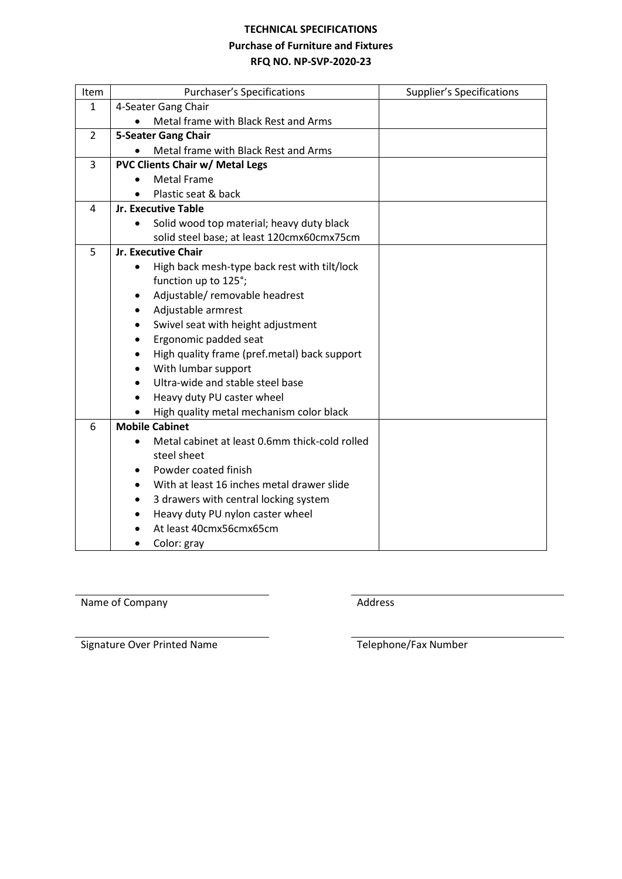#### **TECHNICAL SPECIFICATIONS**

### **Purchase of Furniture and Fixtures**

# **RFQ NO. NP-SVP-2020-23**

| Item           | <b>Purchaser's Specifications</b>                         | <b>Supplier's Specifications</b> |  |  |  |
|----------------|-----------------------------------------------------------|----------------------------------|--|--|--|
| $\mathbf{1}$   | 4-Seater Gang Chair                                       |                                  |  |  |  |
|                | Metal frame with Black Rest and Arms                      |                                  |  |  |  |
| $\overline{2}$ | <b>5-Seater Gang Chair</b>                                |                                  |  |  |  |
|                | Metal frame with Black Rest and Arms                      |                                  |  |  |  |
| 3              | <b>PVC Clients Chair w/ Metal Legs</b>                    |                                  |  |  |  |
|                | <b>Metal Frame</b>                                        |                                  |  |  |  |
|                | Plastic seat & back                                       |                                  |  |  |  |
| 4              | Jr. Executive Table                                       |                                  |  |  |  |
|                | Solid wood top material; heavy duty black<br>$\bullet$    |                                  |  |  |  |
|                | solid steel base; at least 120cmx60cmx75cm                |                                  |  |  |  |
| 5              | <b>Jr. Executive Chair</b>                                |                                  |  |  |  |
|                | High back mesh-type back rest with tilt/lock<br>$\bullet$ |                                  |  |  |  |
|                | function up to 125°;                                      |                                  |  |  |  |
|                | Adjustable/removable headrest<br>٠                        |                                  |  |  |  |
|                | Adjustable armrest                                        |                                  |  |  |  |
|                | Swivel seat with height adjustment<br>$\bullet$           |                                  |  |  |  |
|                | Ergonomic padded seat                                     |                                  |  |  |  |
|                | High quality frame (pref.metal) back support              |                                  |  |  |  |
|                | With lumbar support<br>$\bullet$                          |                                  |  |  |  |
|                | Ultra-wide and stable steel base                          |                                  |  |  |  |
|                | Heavy duty PU caster wheel                                |                                  |  |  |  |
|                | High quality metal mechanism color black                  |                                  |  |  |  |
| 6              | <b>Mobile Cabinet</b>                                     |                                  |  |  |  |
|                | Metal cabinet at least 0.6mm thick-cold rolled            |                                  |  |  |  |
|                | steel sheet                                               |                                  |  |  |  |
|                | Powder coated finish                                      |                                  |  |  |  |
|                | With at least 16 inches metal drawer slide<br>٠           |                                  |  |  |  |
|                | 3 drawers with central locking system<br>٠                |                                  |  |  |  |
|                | Heavy duty PU nylon caster wheel                          |                                  |  |  |  |
|                | At least 40cmx56cmx65cm                                   |                                  |  |  |  |
|                | Color: gray                                               |                                  |  |  |  |

Name of Company **Address** Address

Signature Over Printed Name Telephone/Fax Number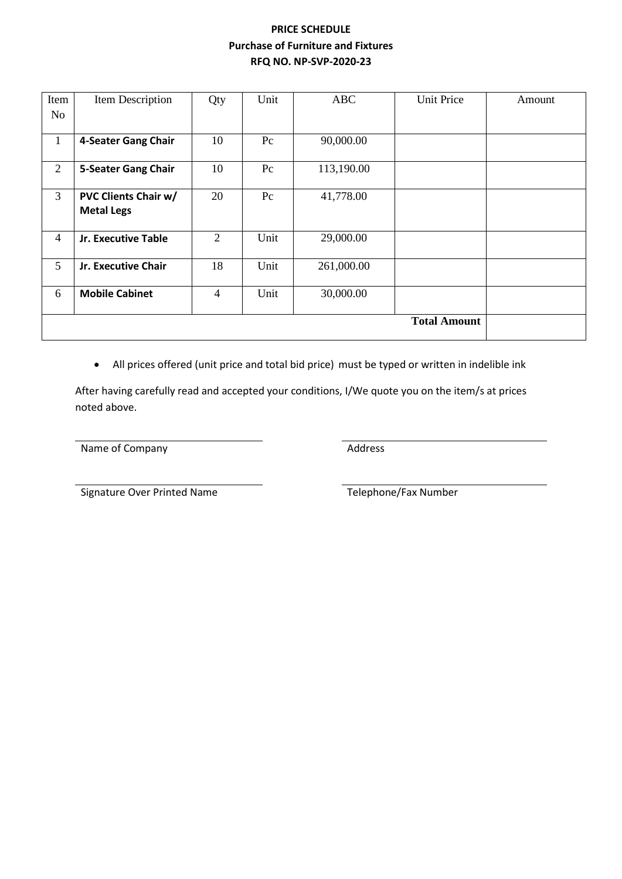# **PRICE SCHEDULE Purchase of Furniture and Fixtures RFQ NO. NP-SVP-2020-23**

| Item           | Item Description            | Qty            | Unit    | <b>ABC</b> | <b>Unit Price</b>   | Amount |
|----------------|-----------------------------|----------------|---------|------------|---------------------|--------|
| No             |                             |                |         |            |                     |        |
|                |                             |                |         |            |                     |        |
| $\mathbf{1}$   | 4-Seater Gang Chair         | 10             | $P_{c}$ | 90,000.00  |                     |        |
|                |                             |                |         |            |                     |        |
| $\overline{2}$ | <b>5-Seater Gang Chair</b>  | 10             | Pc      | 113,190.00 |                     |        |
|                |                             |                |         |            |                     |        |
| 3              | <b>PVC Clients Chair w/</b> | 20             | Pc      | 41,778.00  |                     |        |
|                | <b>Metal Legs</b>           |                |         |            |                     |        |
|                |                             |                |         |            |                     |        |
| $\overline{4}$ | Jr. Executive Table         | 2              | Unit    | 29,000.00  |                     |        |
|                |                             |                |         |            |                     |        |
| 5              | Jr. Executive Chair         | 18             | Unit    | 261,000.00 |                     |        |
|                |                             |                |         |            |                     |        |
| 6              | <b>Mobile Cabinet</b>       | $\overline{4}$ | Unit    | 30,000.00  |                     |        |
|                |                             |                |         |            |                     |        |
|                |                             |                |         |            | <b>Total Amount</b> |        |
|                |                             |                |         |            |                     |        |
|                |                             |                |         |            |                     |        |

• All prices offered (unit price and total bid price) must be typed or written in indelible ink

After having carefully read and accepted your conditions, I/We quote you on the item/s at prices noted above.

Name of Company **Address** Address

Signature Over Printed Name Telephone/Fax Number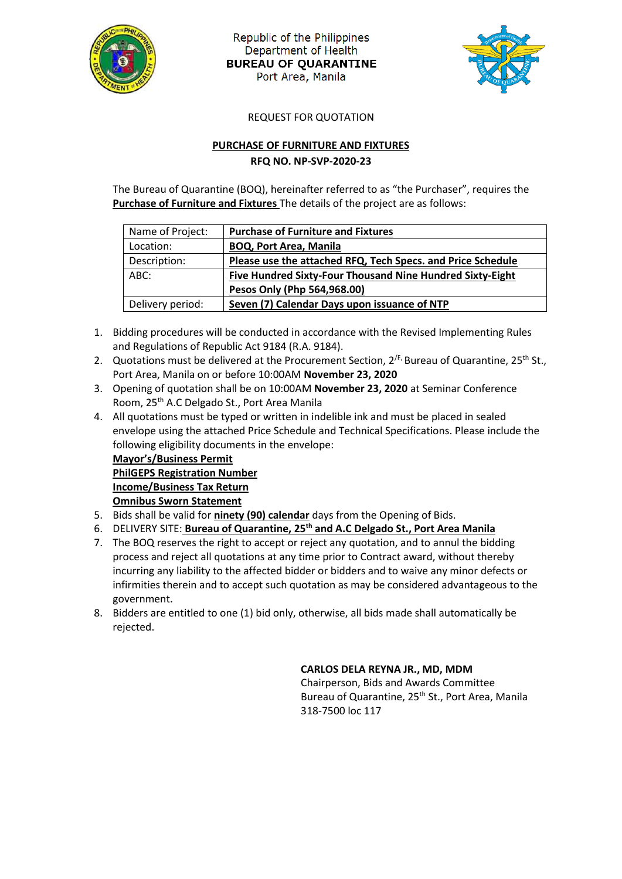

Republic of the Philippines Department of Health **BUREAU OF QUARANTINE** Port Area, Manila



REQUEST FOR QUOTATION

### **PURCHASE OF FURNITURE AND FIXTURES RFQ NO. NP-SVP-2020-23**

The Bureau of Quarantine (BOQ), hereinafter referred to as "the Purchaser", requires the **Purchase of Furniture and Fixtures** The details of the project are as follows:

| Name of Project: | <b>Purchase of Furniture and Fixtures</b>                   |
|------------------|-------------------------------------------------------------|
| Location:        | <b>BOQ, Port Area, Manila</b>                               |
| Description:     | Please use the attached RFQ, Tech Specs. and Price Schedule |
| ABC:             | Five Hundred Sixty-Four Thousand Nine Hundred Sixty-Eight   |
|                  | Pesos Only (Php 564,968.00)                                 |
| Delivery period: | Seven (7) Calendar Days upon issuance of NTP                |
|                  |                                                             |

- 1. Bidding procedures will be conducted in accordance with the Revised Implementing Rules and Regulations of Republic Act 9184 (R.A. 9184).
- 2. Quotations must be delivered at the Procurement Section,  $2^{fF}$ , Bureau of Quarantine,  $25^{th}$  St., Port Area, Manila on or before 10:00AM **November 23, 2020**
- 3. Opening of quotation shall be on 10:00AM **November 23, 2020** at Seminar Conference Room, 25th A.C Delgado St., Port Area Manila
- 4. All quotations must be typed or written in indelible ink and must be placed in sealed envelope using the attached Price Schedule and Technical Specifications. Please include the following eligibility documents in the envelope:

**Mayor's/Business Permit PhilGEPS Registration Number Income/Business Tax Return Omnibus Sworn Statement**

- 5. Bids shall be valid for **ninety (90) calendar** days from the Opening of Bids.
- 6. DELIVERY SITE: **Bureau of Quarantine, 25th and A.C Delgado St., Port Area Manila**
- 7. The BOQ reserves the right to accept or reject any quotation, and to annul the bidding process and reject all quotations at any time prior to Contract award, without thereby incurring any liability to the affected bidder or bidders and to waive any minor defects or infirmities therein and to accept such quotation as may be considered advantageous to the government.
- 8. Bidders are entitled to one (1) bid only, otherwise, all bids made shall automatically be rejected.

## **CARLOS DELA REYNA JR., MD, MDM**

Chairperson, Bids and Awards Committee Bureau of Quarantine, 25<sup>th</sup> St., Port Area, Manila 318-7500 loc 117